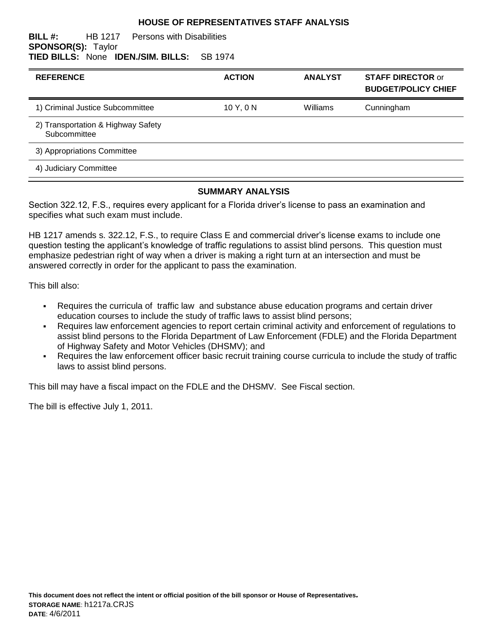#### **HOUSE OF REPRESENTATIVES STAFF ANALYSIS**

#### **BILL #:** HB 1217 Persons with Disabilities **SPONSOR(S):** Taylor **TIED BILLS:** None **IDEN./SIM. BILLS:** SB 1974

| <b>REFERENCE</b>                                   | <b>ACTION</b> | <b>ANALYST</b> | <b>STAFF DIRECTOR or</b><br><b>BUDGET/POLICY CHIEF</b> |
|----------------------------------------------------|---------------|----------------|--------------------------------------------------------|
| 1) Criminal Justice Subcommittee                   | 10Y, 0N       | Williams       | Cunningham                                             |
| 2) Transportation & Highway Safety<br>Subcommittee |               |                |                                                        |
| 3) Appropriations Committee                        |               |                |                                                        |
| 4) Judiciary Committee                             |               |                |                                                        |

#### **SUMMARY ANALYSIS**

Section 322.12, F.S., requires every applicant for a Florida driver's license to pass an examination and specifies what such exam must include.

HB 1217 amends s. 322.12, F.S., to require Class E and commercial driver's license exams to include one question testing the applicant's knowledge of traffic regulations to assist blind persons. This question must emphasize pedestrian right of way when a driver is making a right turn at an intersection and must be answered correctly in order for the applicant to pass the examination.

This bill also:

- Requires the curricula of traffic law and substance abuse education programs and certain driver education courses to include the study of traffic laws to assist blind persons;
- Requires law enforcement agencies to report certain criminal activity and enforcement of regulations to assist blind persons to the Florida Department of Law Enforcement (FDLE) and the Florida Department of Highway Safety and Motor Vehicles (DHSMV); and
- Requires the law enforcement officer basic recruit training course curricula to include the study of traffic laws to assist blind persons.

This bill may have a fiscal impact on the FDLE and the DHSMV. See Fiscal section.

The bill is effective July 1, 2011.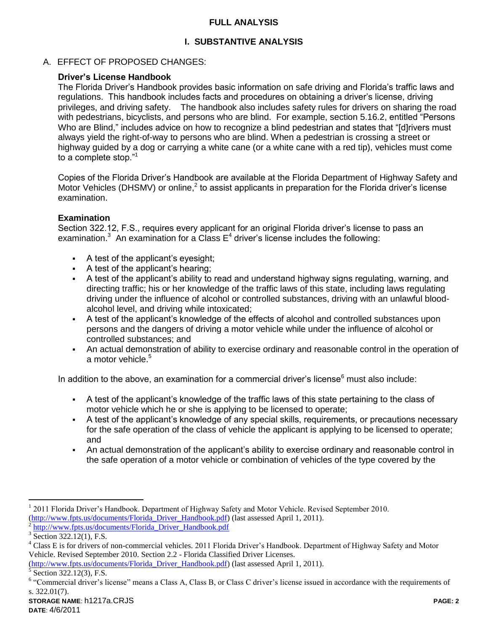## **FULL ANALYSIS**

# **I. SUBSTANTIVE ANALYSIS**

# A. EFFECT OF PROPOSED CHANGES:

# **Driver's License Handbook**

The Florida Driver's Handbook provides basic information on safe driving and Florida's traffic laws and regulations. This handbook includes facts and procedures on obtaining a driver's license, driving privileges, and driving safety. The handbook also includes safety rules for drivers on sharing the road with pedestrians, bicyclists, and persons who are blind. For example, section 5.16.2, entitled "Persons Who are Blind," includes advice on how to recognize a blind pedestrian and states that "[d]rivers must always yield the right-of-way to persons who are blind. When a pedestrian is crossing a street or highway guided by a dog or carrying a white cane (or a white cane with a red tip), vehicles must come to a complete stop."<sup>1</sup>

Copies of the Florida Driver's Handbook are available at the Florida Department of Highway Safety and Motor Vehicles (DHSMV) or online,<sup>2</sup> to assist applicants in preparation for the Florida driver's license examination.

## **Examination**

Section 322.12, F.S., requires every applicant for an original Florida driver's license to pass an examination.<sup>3</sup> An examination for a Class  $E<sup>4</sup>$  driver's license includes the following:

- A test of the applicant's eyesight;
- A test of the applicant's hearing;
- A test of the applicant's ability to read and understand highway signs regulating, warning, and directing traffic; his or her knowledge of the traffic laws of this state, including laws regulating driving under the influence of alcohol or controlled substances, driving with an unlawful bloodalcohol level, and driving while intoxicated;
- A test of the applicant's knowledge of the effects of alcohol and controlled substances upon persons and the dangers of driving a motor vehicle while under the influence of alcohol or controlled substances; and
- An actual demonstration of ability to exercise ordinary and reasonable control in the operation of a motor vehicle.<sup>5</sup>

In addition to the above, an examination for a commercial driver's license $<sup>6</sup>$  must also include:</sup>

- A test of the applicant's knowledge of the traffic laws of this state pertaining to the class of motor vehicle which he or she is applying to be licensed to operate;
- A test of the applicant's knowledge of any special skills, requirements, or precautions necessary for the safe operation of the class of vehicle the applicant is applying to be licensed to operate; and
- An actual demonstration of the applicant's ability to exercise ordinary and reasonable control in the safe operation of a motor vehicle or combination of vehicles of the type covered by the

 $\overline{a}$ 

<sup>&</sup>lt;sup>1</sup> 2011 Florida Driver's Handbook. Department of Highway Safety and Motor Vehicle. Revised September 2010. [\(http://www.fpts.us/documents/Florida\\_Driver\\_Handbook.pdf\)](http://www.fpts.us/documents/Florida_Driver_Handbook.pdf) (last assessed April 1, 2011). 2

[http://www.fpts.us/documents/Florida\\_Driver\\_Handbook.pdf](http://www.fpts.us/documents/Florida_Driver_Handbook.pdf)

 $3$  Section 322.12(1), F.S.

<sup>&</sup>lt;sup>4</sup> Class E is for drivers of non-commercial vehicles. 2011 Florida Driver's Handbook. Department of Highway Safety and Motor Vehicle. Revised September 2010. Section 2.2 - Florida Classified Driver Licenses.

[<sup>\(</sup>http://www.fpts.us/documents/Florida\\_Driver\\_Handbook.pdf\)](http://www.fpts.us/documents/Florida_Driver_Handbook.pdf) (last assessed April 1, 2011).

<sup>5</sup> Section 322.12(3), F.S.

<sup>&</sup>lt;sup>6</sup> "Commercial driver's license" means a Class A, Class B, or Class C driver's license issued in accordance with the requirements of s. 322.01(7).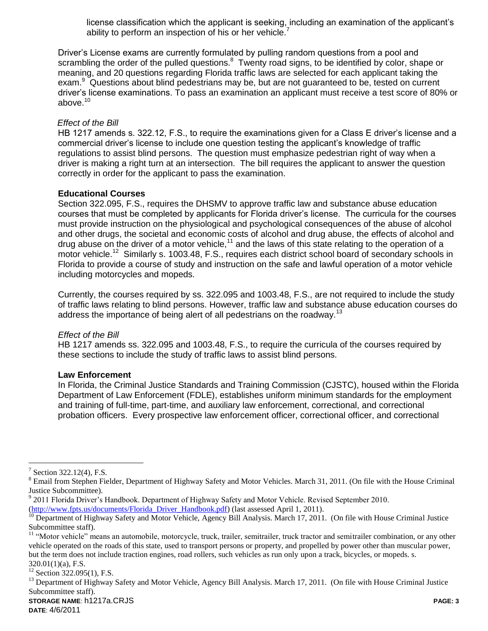license classification which the applicant is seeking, including an examination of the applicant's ability to perform an inspection of his or her vehicle.<sup>7</sup>

Driver's License exams are currently formulated by pulling random questions from a pool and scrambling the order of the pulled questions.<sup>8</sup> Twenty road signs, to be identified by color, shape or meaning, and 20 questions regarding Florida traffic laws are selected for each applicant taking the exam.<sup>9</sup> Questions about blind pedestrians may be, but are not guaranteed to be, tested on current driver's license examinations. To pass an examination an applicant must receive a test score of 80% or above $10$ 

### *Effect of the Bill*

HB 1217 amends s. 322.12, F.S., to require the examinations given for a Class E driver's license and a commercial driver's license to include one question testing the applicant's knowledge of traffic regulations to assist blind persons. The question must emphasize pedestrian right of way when a driver is making a right turn at an intersection. The bill requires the applicant to answer the question correctly in order for the applicant to pass the examination.

## **Educational Courses**

Section 322.095, F.S., requires the DHSMV to approve traffic law and substance abuse education courses that must be completed by applicants for Florida driver's license. The curricula for the courses must provide instruction on the physiological and psychological consequences of the abuse of alcohol and other drugs, the societal and economic costs of alcohol and drug abuse, the effects of alcohol and drug abuse on the driver of a motor vehicle,<sup>11</sup> and the laws of this state relating to the operation of a motor vehicle.<sup>12</sup> Similarly s. 1003.48, F.S., requires each district school board of secondary schools in Florida to provide a course of study and instruction on the safe and lawful operation of a motor vehicle including motorcycles and mopeds.

Currently, the courses required by ss. 322.095 and 1003.48, F.S., are not required to include the study of traffic laws relating to blind persons. However, traffic law and substance abuse education courses do address the importance of being alert of all pedestrians on the roadway.<sup>13</sup>

#### *Effect of the Bill*

HB 1217 amends ss. 322.095 and 1003.48, F.S., to require the curricula of the courses required by these sections to include the study of traffic laws to assist blind persons.

#### **Law Enforcement**

In Florida, the Criminal Justice Standards and Training Commission (CJSTC), housed within the Florida Department of Law Enforcement (FDLE), establishes uniform minimum standards for the employment and training of full-time, part-time, and auxiliary law enforcement, correctional, and correctional probation officers. Every prospective law enforcement officer, correctional officer, and correctional

 $\overline{a}$ 

[\(http://www.fpts.us/documents/Florida\\_Driver\\_Handbook.pdf\)](http://www.fpts.us/documents/Florida_Driver_Handbook.pdf) (last assessed April 1, 2011).

 $7$  Section 322.12(4), F.S.

 $8$  Email from Stephen Fielder, Department of Highway Safety and Motor Vehicles. March 31, 2011. (On file with the House Criminal Justice Subcommittee).

 $9$  2011 Florida Driver's Handbook. Department of Highway Safety and Motor Vehicle. Revised September 2010.

<sup>&</sup>lt;sup>10</sup> Department of Highway Safety and Motor Vehicle, Agency Bill Analysis. March 17, 2011. (On file with House Criminal Justice Subcommittee staff).

<sup>&</sup>lt;sup>11</sup> "Motor vehicle" means an automobile, motorcycle, truck, trailer, semitrailer, truck tractor and semitrailer combination, or any other vehicle operated on the roads of this state, used to transport persons or property, and propelled by power other than muscular power, but the term does not include traction engines, road rollers, such vehicles as run only upon a track, bicycles, or mopeds. s. 320.01(1)(a), F.S.

 $12$  Section 322.095(1), F.S.

<sup>&</sup>lt;sup>13</sup> Department of Highway Safety and Motor Vehicle, Agency Bill Analysis. March 17, 2011. (On file with House Criminal Justice Subcommittee staff).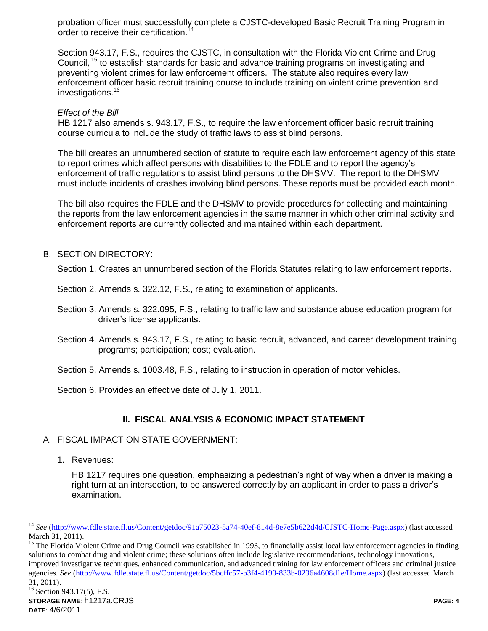probation officer must successfully complete a CJSTC-developed Basic Recruit Training Program in order to receive their certification.<sup>14</sup>

Section 943.17, F.S., requires the CJSTC, in consultation with the Florida Violent Crime and Drug Council, <sup>15</sup> to establish standards for basic and advance training programs on investigating and preventing violent crimes for law enforcement officers. The statute also requires every law enforcement officer basic recruit training course to include training on violent crime prevention and investigations.<sup>16</sup>

### *Effect of the Bill*

HB 1217 also amends s. 943.17, F.S., to require the law enforcement officer basic recruit training course curricula to include the study of traffic laws to assist blind persons.

The bill creates an unnumbered section of statute to require each law enforcement agency of this state to report crimes which affect persons with disabilities to the FDLE and to report the agency's enforcement of traffic regulations to assist blind persons to the DHSMV. The report to the DHSMV must include incidents of crashes involving blind persons. These reports must be provided each month.

The bill also requires the FDLE and the DHSMV to provide procedures for collecting and maintaining the reports from the law enforcement agencies in the same manner in which other criminal activity and enforcement reports are currently collected and maintained within each department.

## B. SECTION DIRECTORY:

Section 1. Creates an unnumbered section of the Florida Statutes relating to law enforcement reports.

Section 2. Amends s. 322.12, F.S., relating to examination of applicants.

Section 3. Amends s. 322.095, F.S., relating to traffic law and substance abuse education program for driver's license applicants.

Section 4. Amends s. 943.17, F.S., relating to basic recruit, advanced, and career development training programs; participation; cost; evaluation.

Section 5. Amends s. 1003.48, F.S., relating to instruction in operation of motor vehicles.

Section 6. Provides an effective date of July 1, 2011.

## **II. FISCAL ANALYSIS & ECONOMIC IMPACT STATEMENT**

#### A. FISCAL IMPACT ON STATE GOVERNMENT:

1. Revenues:

 $\overline{a}$ 

HB 1217 requires one question, emphasizing a pedestrian's right of way when a driver is making a right turn at an intersection, to be answered correctly by an applicant in order to pass a driver's examination.

<sup>15</sup> The Florida Violent Crime and Drug Council was established in 1993, to financially assist local law enforcement agencies in finding solutions to combat drug and violent crime; these solutions often include legislative recommendations, technology innovations, improved investigative techniques, enhanced communication, and advanced training for law enforcement officers and criminal justice agencies. *See* [\(http://www.fdle.state.fl.us/Content/getdoc/5bcffc57-b3f4-4190-833b-0236a4608d1e/Home.aspx\)](http://www.fdle.state.fl.us/Content/getdoc/5bcffc57-b3f4-4190-833b-0236a4608d1e/Home.aspx) (last accessed March 31, 2011).

<sup>14</sup> *See* [\(http://www.fdle.state.fl.us/Content/getdoc/91a75023-5a74-40ef-814d-8e7e5b622d4d/CJSTC-Home-Page.aspx\)](http://www.fdle.state.fl.us/Content/getdoc/91a75023-5a74-40ef-814d-8e7e5b622d4d/CJSTC-Home-Page.aspx) (last accessed March 31, 2011).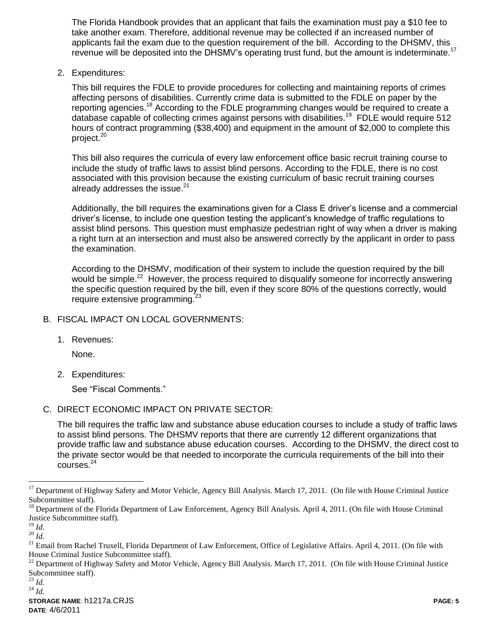The Florida Handbook provides that an applicant that fails the examination must pay a \$10 fee to take another exam. Therefore, additional revenue may be collected if an increased number of applicants fail the exam due to the question requirement of the bill. According to the DHSMV, this revenue will be deposited into the DHSMV's operating trust fund, but the amount is indeterminate.<sup>17</sup>

2. Expenditures:

This bill requires the FDLE to provide procedures for collecting and maintaining reports of crimes affecting persons of disabilities. Currently crime data is submitted to the FDLE on paper by the reporting agencies.<sup>18</sup> According to the FDLE programming changes would be required to create a database capable of collecting crimes against persons with disabilities.<sup>19</sup> FDLE would require 512 hours of contract programming (\$38,400) and equipment in the amount of \$2,000 to complete this project.<sup>20</sup>

This bill also requires the curricula of every law enforcement office basic recruit training course to include the study of traffic laws to assist blind persons. According to the FDLE, there is no cost associated with this provision because the existing curriculum of basic recruit training courses already addresses the issue. $21$ 

Additionally, the bill requires the examinations given for a Class E driver's license and a commercial driver's license, to include one question testing the applicant's knowledge of traffic regulations to assist blind persons. This question must emphasize pedestrian right of way when a driver is making a right turn at an intersection and must also be answered correctly by the applicant in order to pass the examination.

According to the DHSMV, modification of their system to include the question required by the bill would be simple.<sup>22</sup> However, the process required to disqualify someone for incorrectly answering the specific question required by the bill, even if they score 80% of the questions correctly, would require extensive programming.<sup>2</sup>

## B. FISCAL IMPACT ON LOCAL GOVERNMENTS:

1. Revenues:

None.

2. Expenditures:

See "Fiscal Comments."

C. DIRECT ECONOMIC IMPACT ON PRIVATE SECTOR:

The bill requires the traffic law and substance abuse education courses to include a study of traffic laws to assist blind persons. The DHSMV reports that there are currently 12 different organizations that provide traffic law and substance abuse education courses. According to the DHSMV, the direct cost to the private sector would be that needed to incorporate the curricula requirements of the bill into their courses.<sup>24</sup>

 $\overline{a}$ 

<sup>&</sup>lt;sup>17</sup> Department of Highway Safety and Motor Vehicle, Agency Bill Analysis. March 17, 2011. (On file with House Criminal Justice Subcommittee staff).

<sup>&</sup>lt;sup>18</sup> Department of the Florida Department of Law Enforcement, Agency Bill Analysis. April 4, 2011. (On file with House Criminal Justice Subcommittee staff).

<sup>19</sup> *Id.*

<sup>20</sup> *Id.*

<sup>&</sup>lt;sup>21</sup> Email from Rachel Truxell, Florida Department of Law Enforcement, Office of Legislative Affairs. April 4, 2011. (On file with House Criminal Justice Subcommittee staff).

<sup>&</sup>lt;sup>22</sup> Department of Highway Safety and Motor Vehicle, Agency Bill Analysis. March 17, 2011. (On file with House Criminal Justice Subcommittee staff).

<sup>23</sup> *Id.*

<sup>24</sup> *Id.*